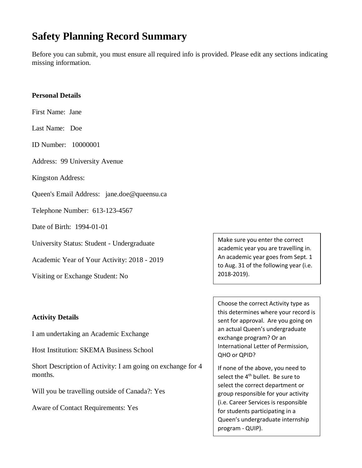# **Safety Planning Record Summary**

Before you can submit, you must ensure all required info is provided. Please edit any sections indicating missing information.

#### **Personal Details**

First Name: Jane

Last Name: Doe

ID Number: 10000001

Address: 99 University Avenue

Kingston Address:

Queen's Email Address: jane.doe@queensu.ca

Telephone Number: 613-123-4567

Date of Birth: 1994-01-01

University Status: Student - Undergraduate

Academic Year of Your Activity: 2018 - 2019

Visiting or Exchange Student: No

#### **Activity Details**

I am undertaking an Academic Exchange

Host Institution: SKEMA Business School

Short Description of Activity: I am going on exchange for 4 months.

Will you be travelling outside of Canada?: Yes

Aware of Contact Requirements: Yes

Make sure you enter the correct academic year you are travelling in. An academic year goes from Sept. 1 to Aug. 31 of the following year (i.e. 2018-2019).

Choose the correct Activity type as this determines where your record is sent for approval. Are you going on an actual Queen's undergraduate exchange program? Or an International Letter of Permission, QHO or QPID?

If none of the above, you need to select the 4<sup>th</sup> bullet. Be sure to select the correct department or group responsible for your activity (i.e. Career Services is responsible for students participating in a Queen's undergraduate internship program - QUIP).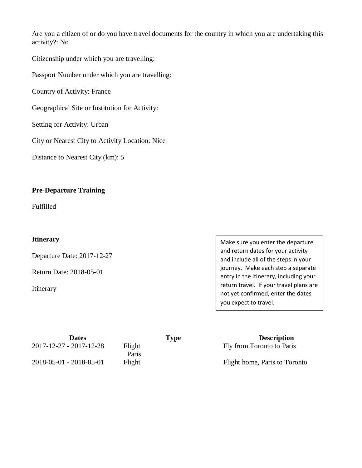Are you a citizen of or do you have travel documents for the country in which you are undertaking this activity?: No

Citizenship under which you are travelling:

Passport Number under which you are travelling:

Country of Activity: France

Geographical Site or Institution for Activity:

Setting for Activity: Urban

City or Nearest City to Activity Location: Nice

Distance to Nearest City (km): [5](https://webapp.queensu.ca/safety/ocasp/spr-activity.php)

#### **Pre-Departure Training**

Fulfilled

#### **Itinerary**

Departure Date: 2017-12-27

Return Date: 2018-05-01

Itinerary

Make sure you enter the departure and return dates for your activity and include all of the steps in your journey. Make each step a separate entry in the itinerary, including your return travel. If your travel plans are not yet confirmed, enter the dates you expect to travel.

| <b>Dates</b>                      |        | <b>Type</b> |
|-----------------------------------|--------|-------------|
| $2017 - 12 - 27 - 2017 - 12 - 28$ | Flight |             |
|                                   | Paris  |             |
| $2018 - 05 - 01 - 2018 - 05 - 01$ | Flight |             |

**Description** Fly from Toronto to Paris

Flight home, Paris to Toronto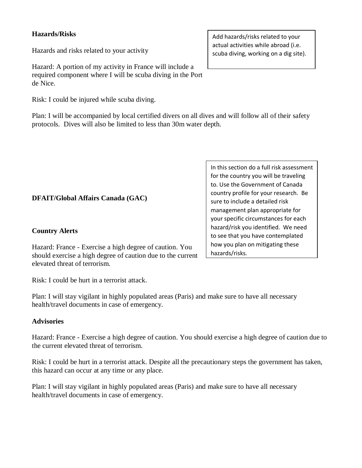# **Hazards/Risks**

Hazards and risks related to your activity

Hazard: A portion of my activity in France will include a required component where I will be scuba diving in the Port de Nice.

Risk: I could be injured while scuba diving.

Plan: I will be accompanied by local certified divers on all dives and will follow all of their safety protocols. Dives will also be limited to less than 30m water depth.

# **DFAIT/Global Affairs Canada (GAC)**

## **Country Alerts**

Hazard: France - Exercise a high degree of caution. You should exercise a high degree of caution due to the current elevated threat of terrorism.

Risk: I could be hurt in a terrorist attack.

Plan: I will stay vigilant in highly populated areas (Paris) and make sure to have all necessary health/travel documents in case of emergency.

#### **Advisories**

Hazard: France - Exercise a high degree of caution. You should exercise a high degree of caution due to the current elevated threat of terrorism.

Risk: I could be hurt in a terrorist attack. Despite all the precautionary steps the government has taken, this hazard can occur at any time or any place.

Plan: I will stay vigilant in highly populated areas (Paris) and make sure to have all necessary health/travel documents in case of emergency.

Add hazards/risks related to your actual activities while abroad (i.e. scuba diving, working on a dig site).

In this section do a full risk assessment for the country you will be traveling to. Use the Government of Canada country profile for your research. Be sure to include a detailed risk management plan appropriate for your specific circumstances for each hazard/risk you identified. We need to see that you have contemplated how you plan on mitigating these hazards/risks.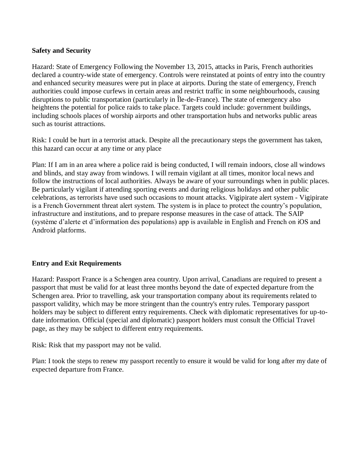# **Safety and Security**

Hazard: State of Emergency Following the November 13, 2015, attacks in Paris, French authorities declared a country-wide state of emergency. Controls were reinstated at points of entry into the country and enhanced security measures were put in place at airports. During the state of emergency, French authorities could impose curfews in certain areas and restrict traffic in some neighbourhoods, causing disruptions to public transportation (particularly in Île-de-France). The state of emergency also heightens the potential for police raids to take place. Targets could include: government buildings, including schools places of worship airports and other transportation hubs and networks public areas such as tourist attractions.

Risk: I could be hurt in a terrorist attack. Despite all the precautionary steps the government has taken, this hazard can occur at any time or any place

Plan: If I am in an area where a police raid is being conducted, I will remain indoors, close all windows and blinds, and stay away from windows. I will remain vigilant at all times, monitor local news and follow the instructions of local authorities. Always be aware of your surroundings when in public places. Be particularly vigilant if attending sporting events and during religious holidays and other public celebrations, as terrorists have used such occasions to mount attacks. Vigipirate alert system - Vigipirate is a French Government threat alert system. The system is in place to protect the country's population, infrastructure and institutions, and to prepare response measures in the case of attack. The SAIP (système d'alerte et d'information des populations) app is available in English and French on iOS and Android platforms.

# **Entry and Exit Requirements**

Hazard: Passport France is a Schengen area country. Upon arrival, Canadians are required to present a passport that must be valid for at least three months beyond the date of expected departure from the Schengen area. Prior to travelling, ask your transportation company about its requirements related to passport validity, which may be more stringent than the country's entry rules. Temporary passport holders may be subject to different entry requirements. Check with diplomatic representatives for up-todate information. Official (special and diplomatic) passport holders must consult the Official Travel page, as they may be subject to different entry requirements.

Risk: Risk that my passport may not be valid.

Plan: I took the steps to renew my passport recently to ensure it would be valid for long after my date of expected departure from France.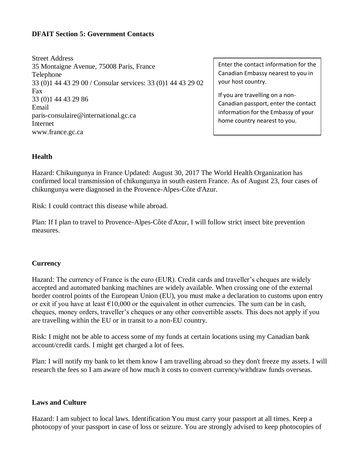## **DFAIT Section 5: Government Contacts**

Street Address 35 Montaigne Avenue, 75008 Paris, France Telephone 33 (0)1 44 43 29 00 / Consular services: 33 (0)1 44 43 29 02 Fax 33 (0)1 44 43 29 86 Email paris-consulaire@international.gc.ca Internet www.france.gc.ca

Enter the contact information for the Canadian Embassy nearest to you in your host country.

If you are travelling on a non-Canadian passport, enter the contact information for the Embassy of your home country nearest to you.

## **Health**

Hazard: Chikungunya in France Updated: August 30, 2017 The World Health Organization has confirmed local transmission of chikungunya in south eastern France. As of August 23, four cases of chikungunya were diagnosed in the Provence-Alpes-Côte d'Azur.

Risk: I could contract this disease while abroad.

Plan: If I plan to travel to Provence-Alpes-Côte d'Azur, I will follow strict insect bite prevention measures.

#### **Currency**

Hazard: The currency of France is the euro (EUR). Credit cards and traveller's cheques are widely accepted and automated banking machines are widely available. When crossing one of the external border control points of the European Union (EU), you must make a declaration to customs upon entry or exit if you have at least  $\epsilon$ 10,000 or the equivalent in other currencies. The sum can be in cash, cheques, money orders, traveller's cheques or any other convertible assets. This does not apply if you are travelling within the EU or in transit to a non-EU country.

Risk: I might not be able to access some of my funds at certain locations using my Canadian bank account/credit cards. I might get charged a lot of fees.

Plan: I will notify my bank to let them know I am travelling abroad so they don't freeze my assets. I will research the fees so I am aware of how much it costs to convert currency/withdraw funds overseas.

#### **Laws and Culture**

Hazard: I am subject to local laws. Identification You must carry your passport at all times. Keep a photocopy of your passport in case of loss or seizure. You are strongly advised to keep photocopies of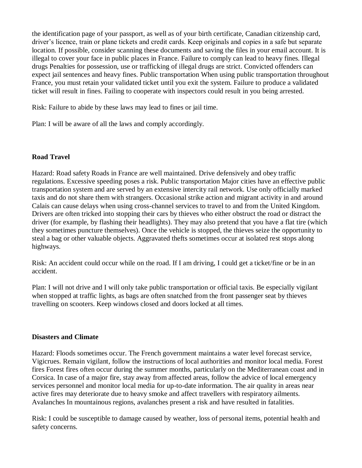the identification page of your passport, as well as of your birth certificate, Canadian citizenship card, driver's licence, train or plane tickets and credit cards. Keep originals and copies in a safe but separate location. If possible, consider scanning these documents and saving the files in your email account. It is illegal to cover your face in public places in France. Failure to comply can lead to heavy fines. Illegal drugs Penalties for possession, use or trafficking of illegal drugs are strict. Convicted offenders can expect jail sentences and heavy fines. Public transportation When using public transportation throughout France, you must retain your validated ticket until you exit the system. Failure to produce a validated ticket will result in fines. Failing to cooperate with inspectors could result in you being arrested.

Risk: Failure to abide by these laws may lead to fines or jail time.

Plan: I will be aware of all the laws and comply accordingly.

# **Road Travel**

Hazard: Road safety Roads in France are well maintained. Drive defensively and obey traffic regulations. Excessive speeding poses a risk. Public transportation Major cities have an effective public transportation system and are served by an extensive intercity rail network. Use only officially marked taxis and do not share them with strangers. Occasional strike action and migrant activity in and around Calais can cause delays when using cross-channel services to travel to and from the United Kingdom. Drivers are often tricked into stopping their cars by thieves who either obstruct the road or distract the driver (for example, by flashing their headlights). They may also pretend that you have a flat tire (which they sometimes puncture themselves). Once the vehicle is stopped, the thieves seize the opportunity to steal a bag or other valuable objects. Aggravated thefts sometimes occur at isolated rest stops along highways.

Risk: An accident could occur while on the road. If I am driving, I could get a ticket/fine or be in an accident.

Plan: I will not drive and I will only take public transportation or official taxis. Be especially vigilant when stopped at traffic lights, as bags are often snatched from the front passenger seat by thieves travelling on scooters. Keep windows closed and doors locked at all times.

#### **Disasters and Climate**

Hazard: Floods sometimes occur. The French government maintains a water level forecast service, Vigicrues. Remain vigilant, follow the instructions of local authorities and monitor local media. Forest fires Forest fires often occur during the summer months, particularly on the Mediterranean coast and in Corsica. In case of a major fire, stay away from affected areas, follow the advice of local emergency services personnel and monitor local media for up-to-date information. The air quality in areas near active fires may deteriorate due to heavy smoke and affect travellers with respiratory ailments. Avalanches In mountainous regions, avalanches present a risk and have resulted in fatalities.

Risk: I could be susceptible to damage caused by weather, loss of personal items, potential health and safety concerns.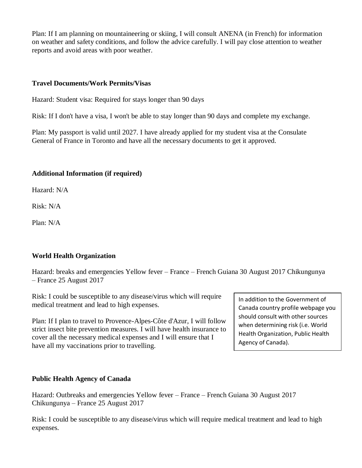Plan: If I am planning on mountaineering or skiing, I will consult ANENA (in French) for information on weather and safety conditions, and follow the advice carefully. I will pay close attention to weather reports and avoid areas with poor weather.

## **Travel Documents/Work Permits/Visas**

Hazard: Student visa: Required for stays longer than 90 days

Risk: If I don't have a visa, I won't be able to stay longer than 90 days and complete my exchange.

Plan: My passport is valid until 2027. I have already applied for my student visa at the Consulate General of France in Toronto and have all the necessary documents to get it approved.

# **Additional Information (if required)**

Hazard: N/A

 $Risk: N/A$ 

Plan: N/A

# **World Health Organization**

Hazard: breaks and emergencies Yellow fever – France – French Guiana 30 August 2017 Chikungunya – France 25 August 2017

Risk: I could be susceptible to any disease/virus which will require medical treatment and lead to high expenses.

Plan: If I plan to travel to Provence-Alpes-Côte d'Azur, I will follow strict insect bite prevention measures. I will have health insurance to cover all the necessary medical expenses and I will ensure that I have all my vaccinations prior to travelling.

# **Public Health Agency of Canada**

Hazard: Outbreaks and emergencies Yellow fever – France – French Guiana 30 August 2017 Chikungunya – France 25 August 2017

Risk: I could be susceptible to any disease/virus which will require medical treatment and lead to high expenses.

In addition to the Government of Canada country profile webpage you should consult with other sources when determining risk (i.e. World Health Organization, Public Health Agency of Canada).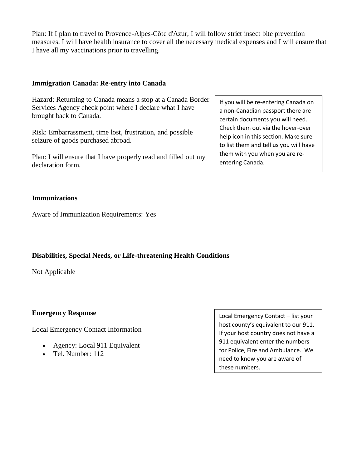Plan: If I plan to travel to Provence-Alpes-Côte d'Azur, I will follow strict insect bite prevention measures. I will have health insurance to cover all the necessary medical expenses and I will ensure that I have all my vaccinations prior to travelling.

## **Immigration Canada: Re-entry into Canada**

Hazard: Returning to Canada means a stop at a Canada Border Services Agency check point where I declare what I have brought back to Canada.

Risk: Embarrassment, time lost, frustration, and possible seizure of goods purchased abroad.

Plan: I will ensure that I have properly read and filled out my declaration form.

**Immunizations**

Aware of Immunization Requirements: Yes

# **Disabilities, Special Needs, or Life-threatening Health Conditions**

Not Applicable

#### **Emergency Response**

Local Emergency Contact Information

- Agency: Local 911 Equivalent
- Tel. Number: 112

Local Emergency Contact – list your host county's equivalent to our 911. If your host country does not have a 911 equivalent enter the numbers for Police, Fire and Ambulance. We need to know you are aware of these numbers.

If you will be re-entering Canada on a non-Canadian passport there are certain documents you will need. Check them out via the hover-over help icon in this section. Make sure to list them and tell us you will have them with you when you are reentering Canada.